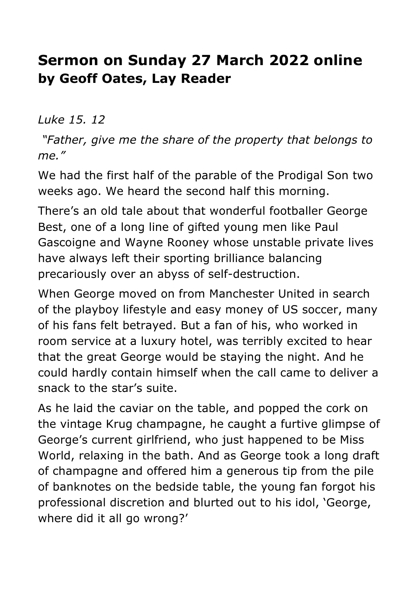## **Sermon on Sunday 27 March 2022 online by Geoff Oates, Lay Reader**

*Luke 15. 12*

*"Father, give me the share of the property that belongs to me."*

We had the first half of the parable of the Prodigal Son two weeks ago. We heard the second half this morning.

There's an old tale about that wonderful footballer George Best, one of a long line of gifted young men like Paul Gascoigne and Wayne Rooney whose unstable private lives have always left their sporting brilliance balancing precariously over an abyss of self-destruction.

When George moved on from Manchester United in search of the playboy lifestyle and easy money of US soccer, many of his fans felt betrayed. But a fan of his, who worked in room service at a luxury hotel, was terribly excited to hear that the great George would be staying the night. And he could hardly contain himself when the call came to deliver a snack to the star's suite.

As he laid the caviar on the table, and popped the cork on the vintage Krug champagne, he caught a furtive glimpse of George's current girlfriend, who just happened to be Miss World, relaxing in the bath. And as George took a long draft of champagne and offered him a generous tip from the pile of banknotes on the bedside table, the young fan forgot his professional discretion and blurted out to his idol, 'George, where did it all go wrong?'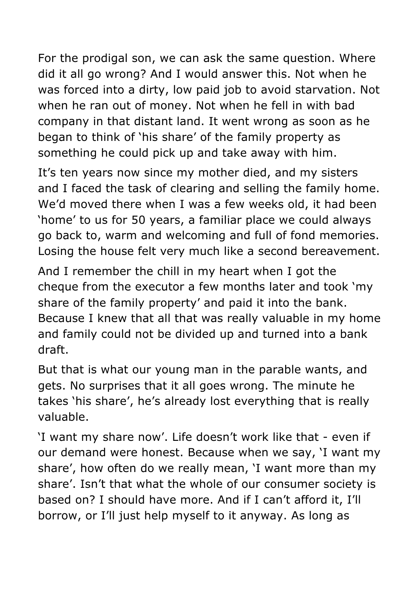For the prodigal son, we can ask the same question. Where did it all go wrong? And I would answer this. Not when he was forced into a dirty, low paid job to avoid starvation. Not when he ran out of money. Not when he fell in with bad company in that distant land. It went wrong as soon as he began to think of 'his share' of the family property as something he could pick up and take away with him.

It's ten years now since my mother died, and my sisters and I faced the task of clearing and selling the family home. We'd moved there when I was a few weeks old, it had been 'home' to us for 50 years, a familiar place we could always go back to, warm and welcoming and full of fond memories. Losing the house felt very much like a second bereavement.

And I remember the chill in my heart when I got the cheque from the executor a few months later and took 'my share of the family property' and paid it into the bank. Because I knew that all that was really valuable in my home and family could not be divided up and turned into a bank draft.

But that is what our young man in the parable wants, and gets. No surprises that it all goes wrong. The minute he takes 'his share', he's already lost everything that is really valuable.

'I want my share now'. Life doesn't work like that - even if our demand were honest. Because when we say, 'I want my share', how often do we really mean, 'I want more than my share'. Isn't that what the whole of our consumer society is based on? I should have more. And if I can't afford it, I'll borrow, or I'll just help myself to it anyway. As long as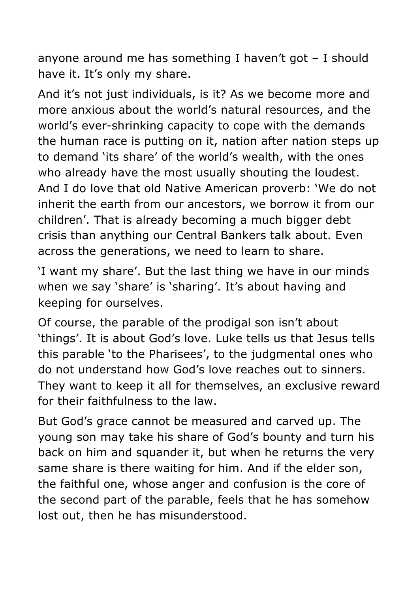anyone around me has something I haven't got – I should have it. It's only my share.

And it's not just individuals, is it? As we become more and more anxious about the world's natural resources, and the world's ever-shrinking capacity to cope with the demands the human race is putting on it, nation after nation steps up to demand 'its share' of the world's wealth, with the ones who already have the most usually shouting the loudest. And I do love that old Native American proverb: 'We do not inherit the earth from our ancestors, we borrow it from our children'. That is already becoming a much bigger debt crisis than anything our Central Bankers talk about. Even across the generations, we need to learn to share.

'I want my share'. But the last thing we have in our minds when we say 'share' is 'sharing'. It's about having and keeping for ourselves.

Of course, the parable of the prodigal son isn't about 'things'. It is about God's love. Luke tells us that Jesus tells this parable 'to the Pharisees', to the judgmental ones who do not understand how God's love reaches out to sinners. They want to keep it all for themselves, an exclusive reward for their faithfulness to the law.

But God's grace cannot be measured and carved up. The young son may take his share of God's bounty and turn his back on him and squander it, but when he returns the very same share is there waiting for him. And if the elder son, the faithful one, whose anger and confusion is the core of the second part of the parable, feels that he has somehow lost out, then he has misunderstood.